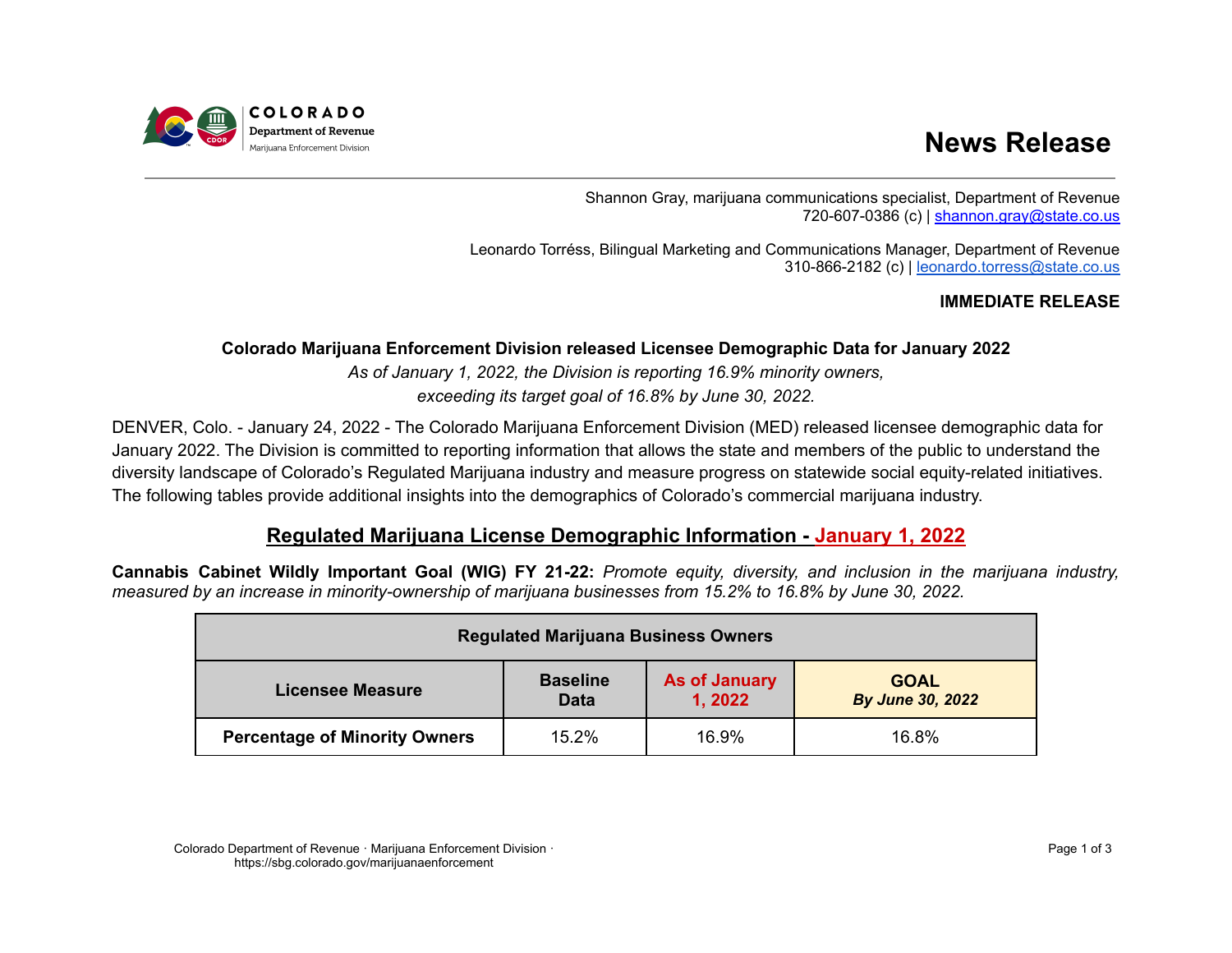# **News Release**



Shannon Gray, marijuana communications specialist, Department of Revenue 720-607-0386 (c) | [shannon.gray@state.co.us](mailto:shannon.gray@state.co.us)

Leonardo Torréss, Bilingual Marketing and Communications Manager, Department of Revenue 310-866-2182 (c) | [leonardo.torress@state.co.us](mailto:leonardo.torress@state.co.us)

# **IMMEDIATE RELEASE**

# **Colorado Marijuana Enforcement Division released Licensee Demographic Data for January 2022**

*As of January 1, 2022, the Division is reporting 16.9% minority owners, exceeding its target goal of 16.8% by June 30, 2022.*

DENVER, Colo. - January 24, 2022 - The Colorado Marijuana Enforcement Division (MED) released licensee demographic data for January 2022. The Division is committed to reporting information that allows the state and members of the public to understand the diversity landscape of Colorado's Regulated Marijuana industry and measure progress on statewide social equity-related initiatives. The following tables provide additional insights into the demographics of Colorado's commercial marijuana industry.

# **Regulated Marijuana License Demographic Information - January 1, 2022**

Cannabis Cabinet Wildly Important Goal (WIG) FY 21-22: Promote equity, diversity, and inclusion in the marijuana industry, measured by an increase in minority-ownership of marijuana businesses from 15.2% to 16.8% by June 30, 2022.

| <b>Regulated Marijuana Business Owners</b> |                                |                                 |                                        |  |  |  |
|--------------------------------------------|--------------------------------|---------------------------------|----------------------------------------|--|--|--|
| <b>Licensee Measure</b>                    | <b>Baseline</b><br><b>Data</b> | <b>As of January</b><br>1, 2022 | <b>GOAL</b><br><b>By June 30, 2022</b> |  |  |  |
| <b>Percentage of Minority Owners</b>       | 15.2%                          | 16.9%                           | 16.8%                                  |  |  |  |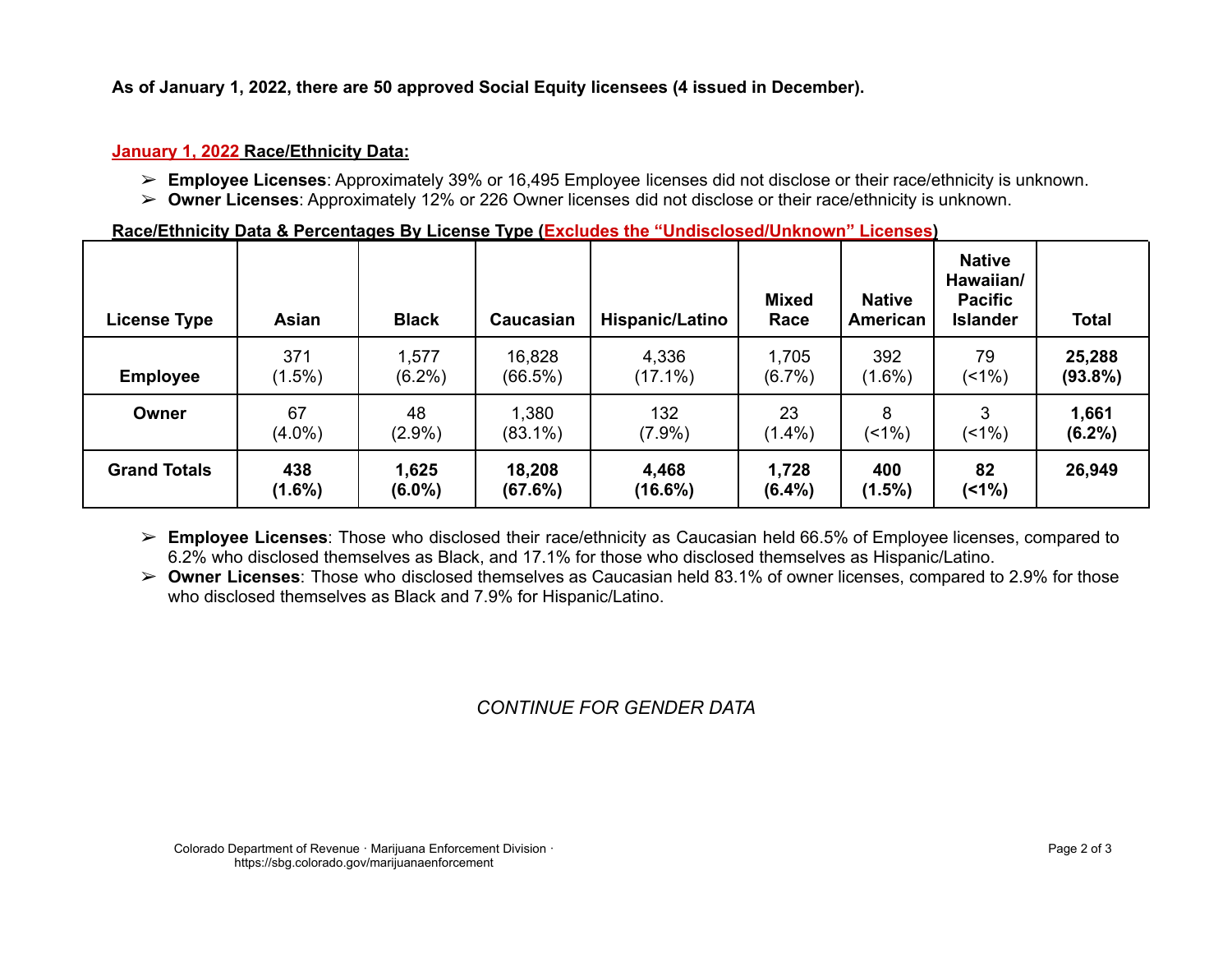# **As of January 1, 2022, there are 50 approved Social Equity licensees (4 issued in December).**

#### **January 1, 2022 Race/Ethnicity Data:**

- ➢ **Employee Licenses**: Approximately 39% or 16,495 Employee licenses did not disclose or their race/ethnicity is unknown.
- ➢ **Owner Licenses**: Approximately 12% or 226 Owner licenses did not disclose or their race/ethnicity is unknown.

| <b>License Type</b> | Asian            | <b>Black</b>       | Caucasian         | Hispanic/Latino  | <b>Mixed</b><br>Race | <b>Native</b><br>American | <b>Native</b><br>Hawaiian/<br><b>Pacific</b><br><b>Islander</b> | <b>Total</b> |
|---------------------|------------------|--------------------|-------------------|------------------|----------------------|---------------------------|-----------------------------------------------------------------|--------------|
| <b>Employee</b>     | 371              | 1,577              | 16,828            | 4,336            | 1,705                | 392                       | 79                                                              | 25,288       |
|                     | $(1.5\%)$        | $(6.2\%)$          | (66.5%)           | $(17.1\%)$       | $(6.7\%)$            | $(1.6\%)$                 | $(1\%)$                                                         | $(93.8\%)$   |
| Owner               | 67               | 48                 | 1,380             | 132              | 23                   | 8                         | 3                                                               | 1,661        |
|                     | $(4.0\%)$        | $(2.9\%)$          | $(83.1\%)$        | $(7.9\%)$        | $(1.4\%)$            | $(1\%)$                   | $(1\%)$                                                         | $(6.2\%)$    |
| <b>Grand Totals</b> | 438<br>$(1.6\%)$ | 1,625<br>$(6.0\%)$ | 18,208<br>(67.6%) | 4,468<br>(16.6%) | 1,728<br>$(6.4\%)$   | 400<br>$(1.5\%)$          | 82<br>$(1\%)$                                                   | 26,949       |

**Race/Ethnicity Data & Percentages By License Type (Excludes the "Undisclosed/Unknown" Licenses)**

- ➢ **Employee Licenses**: Those who disclosed their race/ethnicity as Caucasian held 66.5% of Employee licenses, compared to 6.2% who disclosed themselves as Black, and 17.1% for those who disclosed themselves as Hispanic/Latino.
- ➢ **Owner Licenses**: Those who disclosed themselves as Caucasian held 83.1% of owner licenses, compared to 2.9% for those who disclosed themselves as Black and 7.9% for Hispanic/Latino.

# *CONTINUE FOR GENDER DATA*